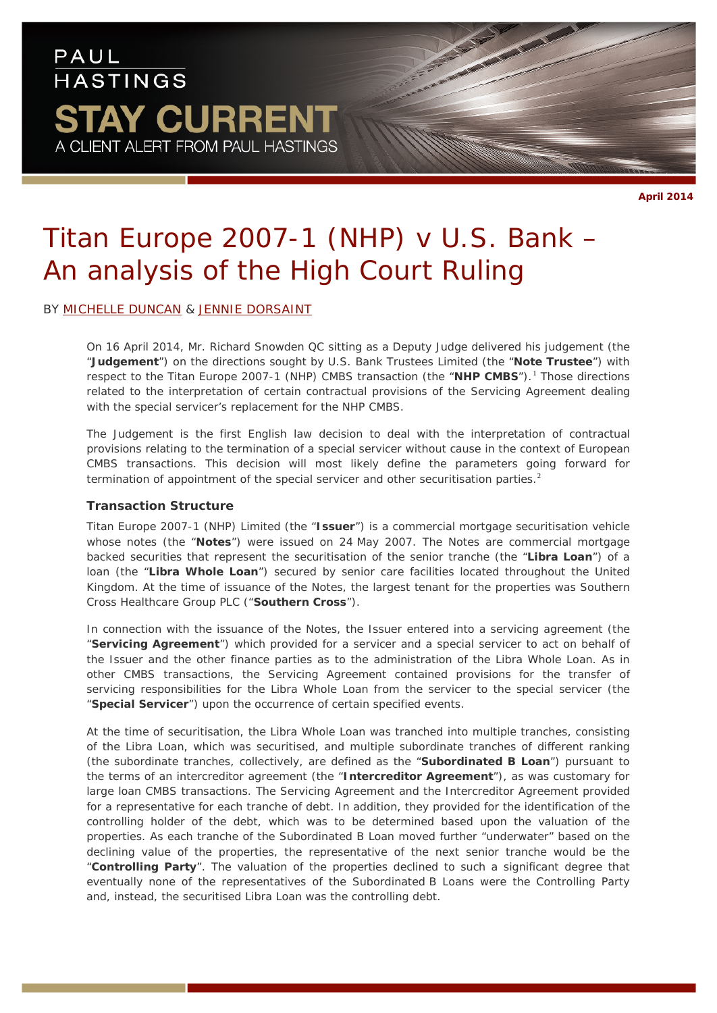# PAUL **HASTINGS STAY CURRENT** A CLIENT ALERT FROM PAUL HASTINGS

# *Titan Europe 2007-1 (NHP) v U.S. Bank – An analysis of the High Court Ruling*

# BY [MICHELLE DUNCAN](http://paulhastings.com/Professionals/details/michelleduncan/) & [JENNIE DORSAINT](http://paulhastings.com/Professionals/details/jenniedorsaint/)

On 16 April 2014, Mr. Richard Snowden QC sitting as a Deputy Judge delivered his judgement (the "**Judgement**") on the directions sought by U.S. Bank Trustees Limited (the "**Note Trustee**") with respect to the Titan Europe 2007-[1](#page-7-0) (NHP) CMBS transaction (the "NHP CMBS").<sup>1</sup> Those directions related to the interpretation of certain contractual provisions of the Servicing Agreement dealing with the special servicer's replacement for the NHP CMBS.

The Judgement is the first English law decision to deal with the interpretation of contractual provisions relating to the termination of a special servicer without cause in the context of European CMBS transactions. This decision will most likely define the parameters going forward for termination of appointment of the special servicer and other securitisation parties.<sup>[2](#page-7-1)</sup>

#### **Transaction Structure**

Titan Europe 2007-1 (NHP) Limited (the "**Issuer**") is a commercial mortgage securitisation vehicle whose notes (the "**Notes**") were issued on 24 May 2007. The Notes are commercial mortgage backed securities that represent the securitisation of the senior tranche (the "**Libra Loan**") of a loan (the "**Libra Whole Loan**") secured by senior care facilities located throughout the United Kingdom. At the time of issuance of the Notes, the largest tenant for the properties was Southern Cross Healthcare Group PLC ("**Southern Cross**").

In connection with the issuance of the Notes, the Issuer entered into a servicing agreement (the "**Servicing Agreement**") which provided for a servicer and a special servicer to act on behalf of the Issuer and the other finance parties as to the administration of the Libra Whole Loan. As in other CMBS transactions, the Servicing Agreement contained provisions for the transfer of servicing responsibilities for the Libra Whole Loan from the servicer to the special servicer (the "**Special Servicer**") upon the occurrence of certain specified events.

At the time of securitisation, the Libra Whole Loan was tranched into multiple tranches, consisting of the Libra Loan, which was securitised, and multiple subordinate tranches of different ranking (the subordinate tranches, collectively, are defined as the "**Subordinated B Loan**") pursuant to the terms of an intercreditor agreement (the "**Intercreditor Agreement**"), as was customary for large loan CMBS transactions. The Servicing Agreement and the Intercreditor Agreement provided for a representative for each tranche of debt. In addition, they provided for the identification of the controlling holder of the debt, which was to be determined based upon the valuation of the properties. As each tranche of the Subordinated B Loan moved further "underwater" based on the declining value of the properties, the representative of the next senior tranche would be the "**Controlling Party**". The valuation of the properties declined to such a significant degree that eventually none of the representatives of the Subordinated B Loans were the Controlling Party and, instead, the securitised Libra Loan was the controlling debt.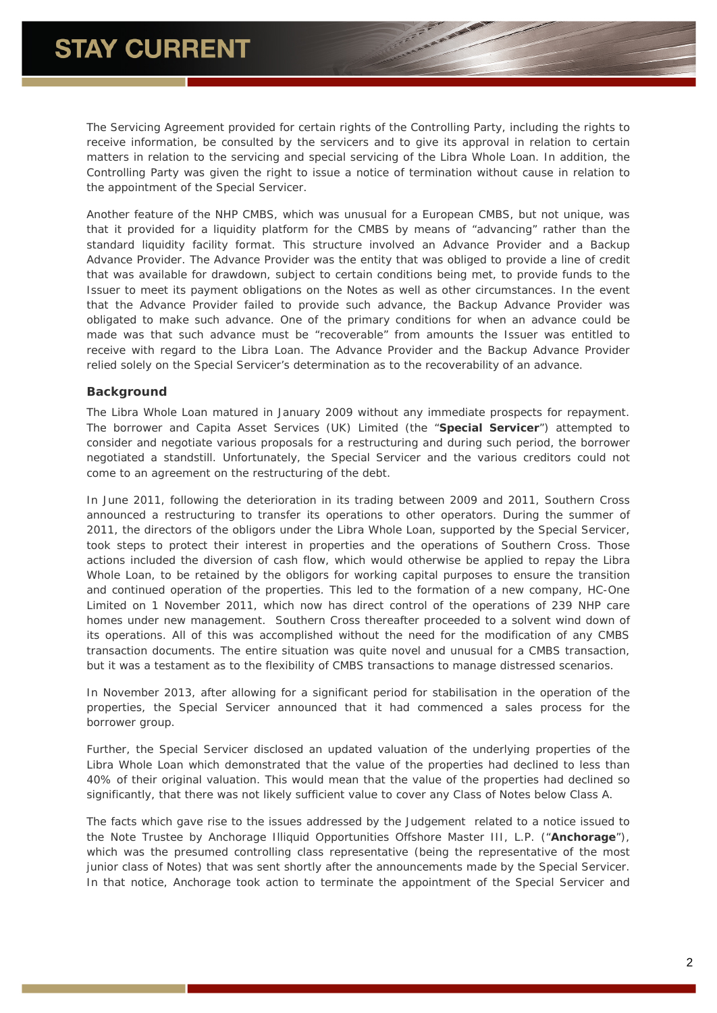The Servicing Agreement provided for certain rights of the Controlling Party, including the rights to receive information, be consulted by the servicers and to give its approval in relation to certain matters in relation to the servicing and special servicing of the Libra Whole Loan. In addition, the Controlling Party was given the right to issue a notice of termination without cause in relation to the appointment of the Special Servicer.

Another feature of the NHP CMBS, which was unusual for a European CMBS, but not unique, was that it provided for a liquidity platform for the CMBS by means of "advancing" rather than the standard liquidity facility format. This structure involved an Advance Provider and a Backup Advance Provider. The Advance Provider was the entity that was obliged to provide a line of credit that was available for drawdown, subject to certain conditions being met, to provide funds to the Issuer to meet its payment obligations on the Notes as well as other circumstances. In the event that the Advance Provider failed to provide such advance, the Backup Advance Provider was obligated to make such advance. One of the primary conditions for when an advance could be made was that such advance must be "recoverable" from amounts the Issuer was entitled to receive with regard to the Libra Loan. The Advance Provider and the Backup Advance Provider relied solely on the Special Servicer's determination as to the recoverability of an advance.

### **Background**

The Libra Whole Loan matured in January 2009 without any immediate prospects for repayment. The borrower and Capita Asset Services (UK) Limited (the "**Special Servicer**") attempted to consider and negotiate various proposals for a restructuring and during such period, the borrower negotiated a standstill. Unfortunately, the Special Servicer and the various creditors could not come to an agreement on the restructuring of the debt.

In June 2011, following the deterioration in its trading between 2009 and 2011, Southern Cross announced a restructuring to transfer its operations to other operators. During the summer of 2011, the directors of the obligors under the Libra Whole Loan, supported by the Special Servicer, took steps to protect their interest in properties and the operations of Southern Cross. Those actions included the diversion of cash flow, which would otherwise be applied to repay the Libra Whole Loan, to be retained by the obligors for working capital purposes to ensure the transition and continued operation of the properties. This led to the formation of a new company, HC-One Limited on 1 November 2011, which now has direct control of the operations of 239 NHP care homes under new management. Southern Cross thereafter proceeded to a solvent wind down of its operations. All of this was accomplished without the need for the modification of any CMBS transaction documents. The entire situation was quite novel and unusual for a CMBS transaction, but it was a testament as to the flexibility of CMBS transactions to manage distressed scenarios.

In November 2013, after allowing for a significant period for stabilisation in the operation of the properties, the Special Servicer announced that it had commenced a sales process for the borrower group.

Further, the Special Servicer disclosed an updated valuation of the underlying properties of the Libra Whole Loan which demonstrated that the value of the properties had declined to less than 40% of their original valuation. This would mean that the value of the properties had declined so significantly, that there was not likely sufficient value to cover any Class of Notes below Class A.

The facts which gave rise to the issues addressed by the Judgement related to a notice issued to the Note Trustee by Anchorage Illiquid Opportunities Offshore Master III, L.P. ("**Anchorage**"), which was the presumed controlling class representative (being the representative of the most junior class of Notes) that was sent shortly after the announcements made by the Special Servicer. In that notice, Anchorage took action to terminate the appointment of the Special Servicer and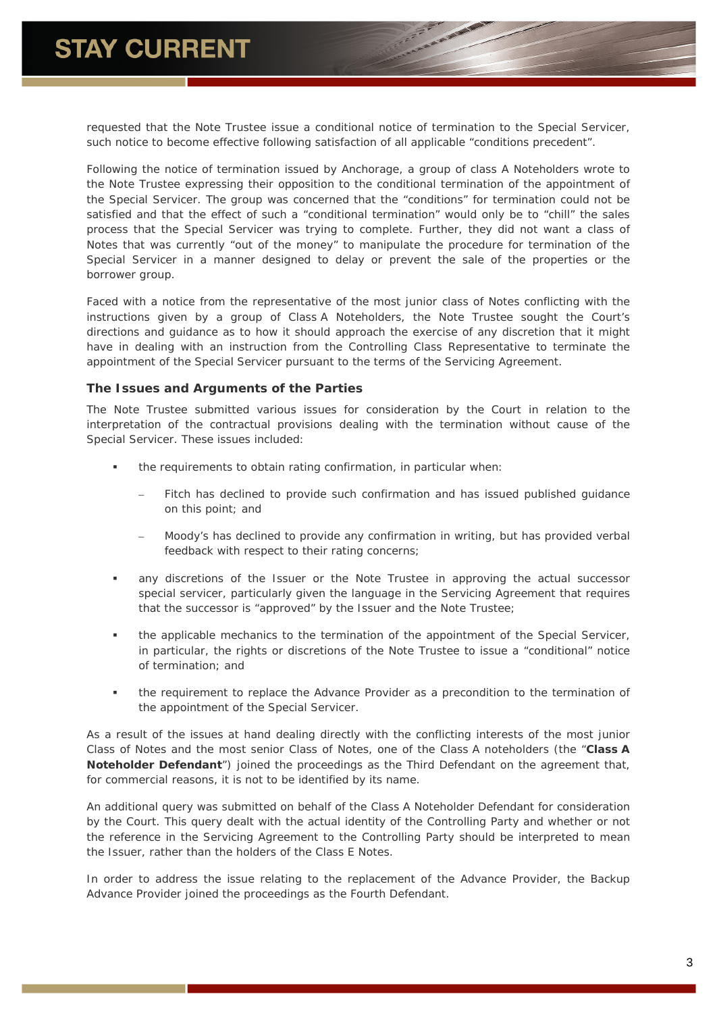requested that the Note Trustee issue a conditional notice of termination to the Special Servicer, such notice to become effective following satisfaction of all applicable "conditions precedent".

Following the notice of termination issued by Anchorage, a group of class A Noteholders wrote to the Note Trustee expressing their opposition to the conditional termination of the appointment of the Special Servicer. The group was concerned that the "conditions" for termination could not be satisfied and that the effect of such a "conditional termination" would only be to "chill" the sales process that the Special Servicer was trying to complete. Further, they did not want a class of Notes that was currently "out of the money" to manipulate the procedure for termination of the Special Servicer in a manner designed to delay or prevent the sale of the properties or the borrower group.

Faced with a notice from the representative of the most junior class of Notes conflicting with the instructions given by a group of Class A Noteholders, the Note Trustee sought the Court's directions and guidance as to how it should approach the exercise of any discretion that it might have in dealing with an instruction from the Controlling Class Representative to terminate the appointment of the Special Servicer pursuant to the terms of the Servicing Agreement.

#### **The Issues and Arguments of the Parties**

The Note Trustee submitted various issues for consideration by the Court in relation to the interpretation of the contractual provisions dealing with the termination without cause of the Special Servicer. These issues included:

- the requirements to obtain rating confirmation, in particular when:
	- Fitch has declined to provide such confirmation and has issued published guidance on this point; and
	- Moody's has declined to provide any confirmation in writing, but has provided verbal feedback with respect to their rating concerns;
- any discretions of the Issuer or the Note Trustee in approving the actual successor special servicer, particularly given the language in the Servicing Agreement that requires that the successor is "approved" by the Issuer and the Note Trustee;
- the applicable mechanics to the termination of the appointment of the Special Servicer, in particular, the rights or discretions of the Note Trustee to issue a "conditional" notice of termination; and
- the requirement to replace the Advance Provider as a precondition to the termination of the appointment of the Special Servicer.

As a result of the issues at hand dealing directly with the conflicting interests of the most junior Class of Notes and the most senior Class of Notes, one of the Class A noteholders (the "**Class A Noteholder Defendant**") joined the proceedings as the Third Defendant on the agreement that, for commercial reasons, it is not to be identified by its name.

An additional query was submitted on behalf of the Class A Noteholder Defendant for consideration by the Court. This query dealt with the actual identity of the Controlling Party and whether or not the reference in the Servicing Agreement to the Controlling Party should be interpreted to mean the Issuer, rather than the holders of the Class E Notes.

In order to address the issue relating to the replacement of the Advance Provider, the Backup Advance Provider joined the proceedings as the Fourth Defendant.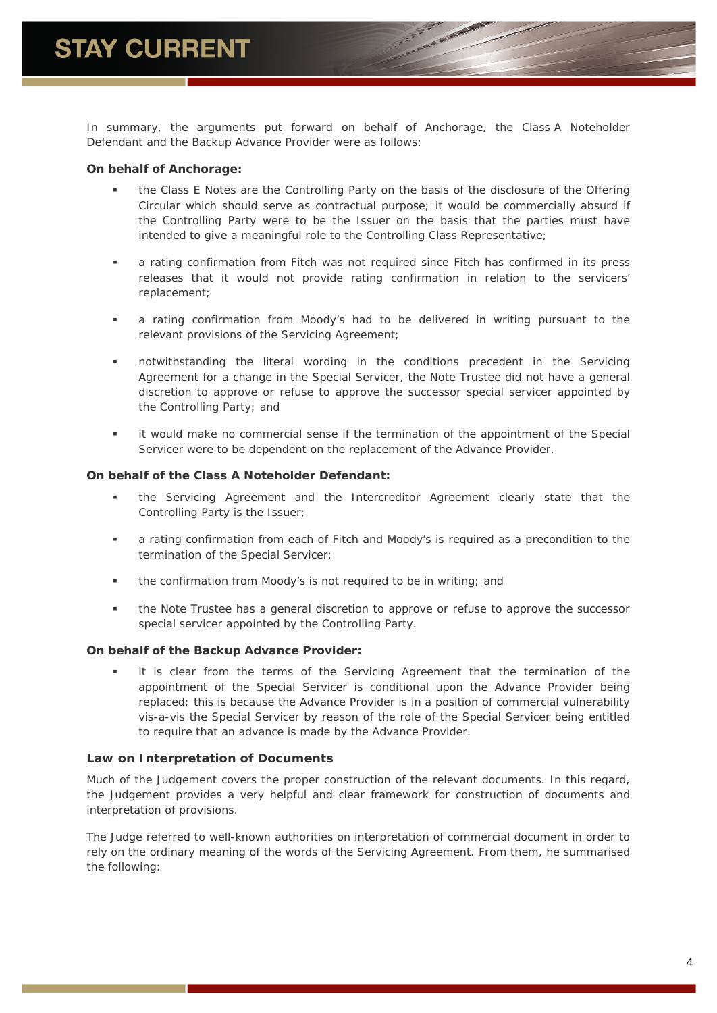In summary, the arguments put forward on behalf of Anchorage, the Class A Noteholder Defendant and the Backup Advance Provider were as follows:

#### *On behalf of Anchorage:*

- the Class E Notes are the Controlling Party on the basis of the disclosure of the Offering Circular which should serve as contractual purpose; it would be commercially absurd if the Controlling Party were to be the Issuer on the basis that the parties must have intended to give a meaningful role to the Controlling Class Representative;
- a rating confirmation from Fitch was not required since Fitch has confirmed in its press releases that it would not provide rating confirmation in relation to the servicers' replacement;
- a rating confirmation from Moody's had to be delivered in writing pursuant to the relevant provisions of the Servicing Agreement;
- notwithstanding the literal wording in the conditions precedent in the Servicing Agreement for a change in the Special Servicer, the Note Trustee did not have a general discretion to approve or refuse to approve the successor special servicer appointed by the Controlling Party; and
- it would make no commercial sense if the termination of the appointment of the Special Servicer were to be dependent on the replacement of the Advance Provider.

#### *On behalf of the Class A Noteholder Defendant:*

- the Servicing Agreement and the Intercreditor Agreement clearly state that the Controlling Party is the Issuer;
- a rating confirmation from each of Fitch and Moody's is required as a precondition to the termination of the Special Servicer;
- the confirmation from Moody's is not required to be in writing; and
- the Note Trustee has a general discretion to approve or refuse to approve the successor special servicer appointed by the Controlling Party.

#### *On behalf of the Backup Advance Provider:*

 it is clear from the terms of the Servicing Agreement that the termination of the appointment of the Special Servicer is conditional upon the Advance Provider being replaced; this is because the Advance Provider is in a position of commercial vulnerability vis-a-vis the Special Servicer by reason of the role of the Special Servicer being entitled to require that an advance is made by the Advance Provider.

#### **Law on Interpretation of Documents**

Much of the Judgement covers the proper construction of the relevant documents. In this regard, the Judgement provides a very helpful and clear framework for construction of documents and interpretation of provisions.

The Judge referred to well-known authorities on interpretation of commercial document in order to rely on the ordinary meaning of the words of the Servicing Agreement. From them, he summarised the following: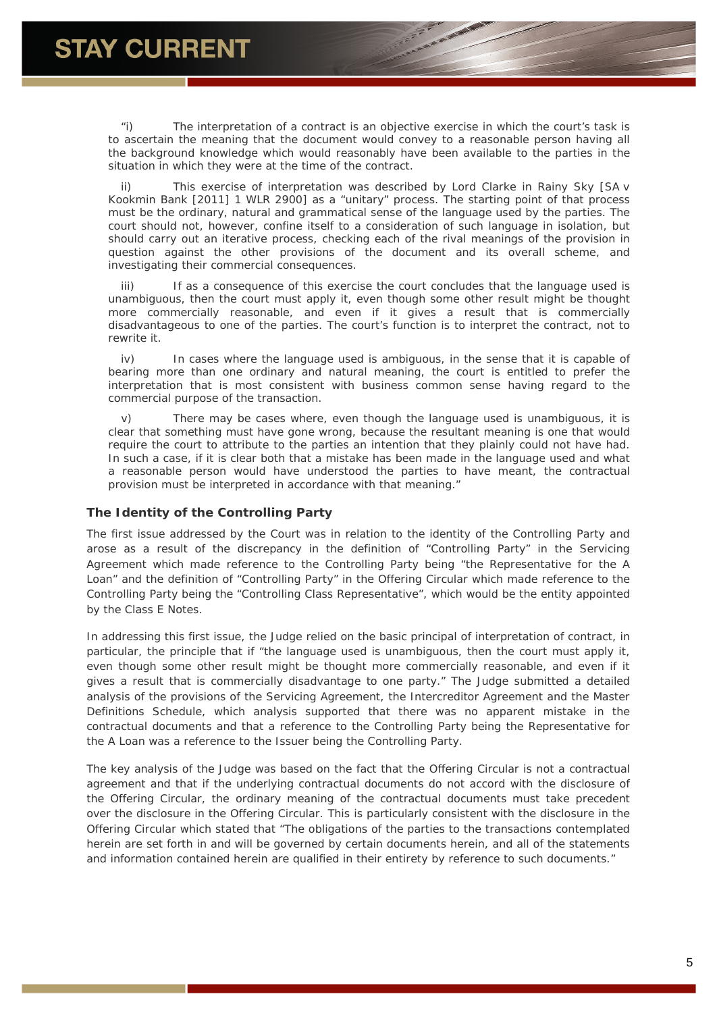"i) The interpretation of a contract is an objective exercise in which the court's task is to ascertain the meaning that the document would convey to a reasonable person having all the background knowledge which would reasonably have been available to the parties in the situation in which they were at the time of the contract.

This exercise of interpretation was described by Lord Clarke in Rainy Sky [SA v Kookmin Bank [2011] 1 WLR 2900] as a "unitary" process. The starting point of that process must be the ordinary, natural and grammatical sense of the language used by the parties. The court should not, however, confine itself to a consideration of such language in isolation, but should carry out an iterative process, checking each of the rival meanings of the provision in question against the other provisions of the document and its overall scheme, and investigating their commercial consequences.

iii) If as a consequence of this exercise the court concludes that the language used is unambiguous, then the court must apply it, even though some other result might be thought more commercially reasonable, and even if it gives a result that is commercially disadvantageous to one of the parties. The court's function is to interpret the contract, not to rewrite it.

iv) In cases where the language used is ambiguous, in the sense that it is capable of bearing more than one ordinary and natural meaning, the court is entitled to prefer the interpretation that is most consistent with business common sense having regard to the commercial purpose of the transaction.

v) There may be cases where, even though the language used is unambiguous, it is clear that something must have gone wrong, because the resultant meaning is one that would require the court to attribute to the parties an intention that they plainly could not have had. In such a case, if it is clear both that a mistake has been made in the language used and what a reasonable person would have understood the parties to have meant, the contractual provision must be interpreted in accordance with that meaning."

# **The Identity of the Controlling Party**

The first issue addressed by the Court was in relation to the identity of the Controlling Party and arose as a result of the discrepancy in the definition of "Controlling Party" in the Servicing Agreement which made reference to the Controlling Party being "the Representative for the A Loan" and the definition of "Controlling Party" in the Offering Circular which made reference to the Controlling Party being the "Controlling Class Representative", which would be the entity appointed by the Class E Notes.

In addressing this first issue, the Judge relied on the basic principal of interpretation of contract, in particular, the principle that if "*the language used is unambiguous, then the court must apply it, even though some other result might be thought more commercially reasonable, and even if it gives a result that is commercially disadvantage to one party*." The Judge submitted a detailed analysis of the provisions of the Servicing Agreement, the Intercreditor Agreement and the Master Definitions Schedule, which analysis supported that there was no apparent mistake in the contractual documents and that a reference to the Controlling Party being the Representative for the A Loan was a reference to the Issuer being the Controlling Party.

The key analysis of the Judge was based on the fact that the Offering Circular is not a contractual agreement and that if the underlying contractual documents do not accord with the disclosure of the Offering Circular, the ordinary meaning of the contractual documents must take precedent over the disclosure in the Offering Circular. This is particularly consistent with the disclosure in the Offering Circular which stated that "*The obligations of the parties to the transactions contemplated herein are set forth in and will be governed by certain documents herein, and all of the statements and information contained herein are qualified in their entirety by reference to such documents*."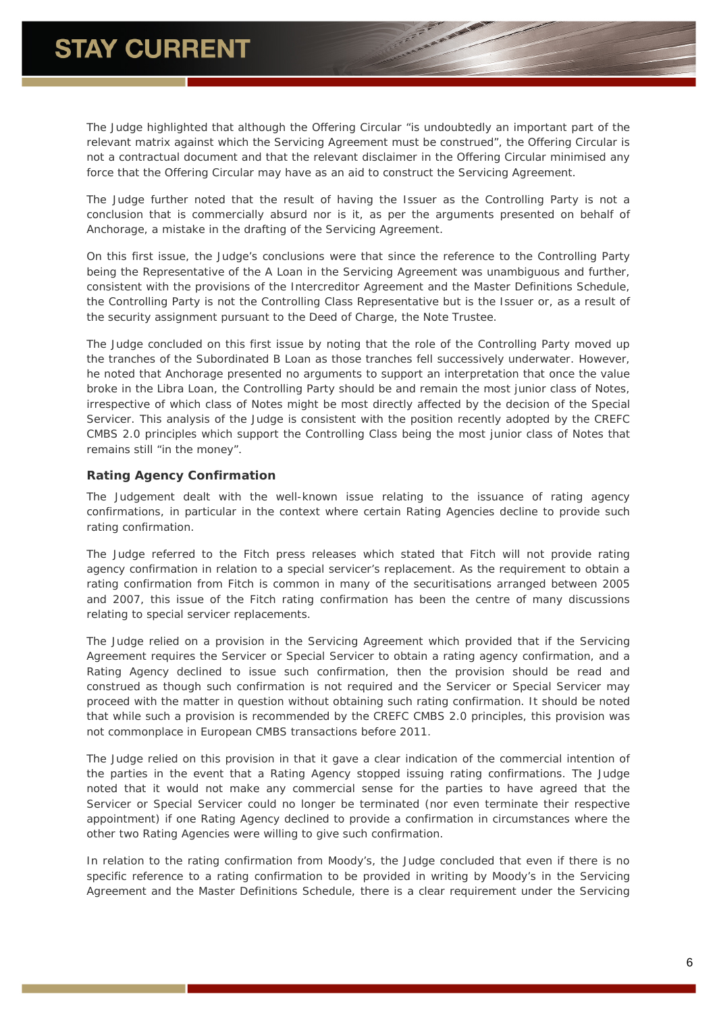The Judge highlighted that although the Offering Circular "*is undoubtedly an important part of the relevant matrix against which the Servicing Agreement must be construed*", the Offering Circular is not a contractual document and that the relevant disclaimer in the Offering Circular minimised any force that the Offering Circular may have as an aid to construct the Servicing Agreement.

The Judge further noted that the result of having the Issuer as the Controlling Party is not a conclusion that is commercially absurd nor is it, as per the arguments presented on behalf of Anchorage, a mistake in the drafting of the Servicing Agreement.

On this first issue, the Judge's conclusions were that since the reference to the Controlling Party being the Representative of the A Loan in the Servicing Agreement was unambiguous and further, consistent with the provisions of the Intercreditor Agreement and the Master Definitions Schedule, the Controlling Party is not the Controlling Class Representative but is the Issuer or, as a result of the security assignment pursuant to the Deed of Charge, the Note Trustee.

The Judge concluded on this first issue by noting that the role of the Controlling Party moved up the tranches of the Subordinated B Loan as those tranches fell successively underwater. However, he noted that Anchorage presented no arguments to support an interpretation that once the value broke in the Libra Loan, the Controlling Party should be and remain the most junior class of Notes, irrespective of which class of Notes might be most directly affected by the decision of the Special Servicer. This analysis of the Judge is consistent with the position recently adopted by the CREFC CMBS 2.0 principles which support the Controlling Class being the most junior class of Notes that remains still "in the money".

# **Rating Agency Confirmation**

The Judgement dealt with the well-known issue relating to the issuance of rating agency confirmations, in particular in the context where certain Rating Agencies decline to provide such rating confirmation.

The Judge referred to the Fitch press releases which stated that Fitch will not provide rating agency confirmation in relation to a special servicer's replacement. As the requirement to obtain a rating confirmation from Fitch is common in many of the securitisations arranged between 2005 and 2007, this issue of the Fitch rating confirmation has been the centre of many discussions relating to special servicer replacements.

The Judge relied on a provision in the Servicing Agreement which provided that if the Servicing Agreement requires the Servicer or Special Servicer to obtain a rating agency confirmation, and a Rating Agency declined to issue such confirmation, then the provision should be read and construed as though such confirmation is not required and the Servicer or Special Servicer may proceed with the matter in question without obtaining such rating confirmation. It should be noted that while such a provision is recommended by the CREFC CMBS 2.0 principles, this provision was not commonplace in European CMBS transactions before 2011.

The Judge relied on this provision in that it gave a clear indication of the commercial intention of the parties in the event that a Rating Agency stopped issuing rating confirmations. The Judge noted that it would not make any commercial sense for the parties to have agreed that the Servicer or Special Servicer could no longer be terminated (nor even terminate their respective appointment) if one Rating Agency declined to provide a confirmation in circumstances where the other two Rating Agencies were willing to give such confirmation.

In relation to the rating confirmation from Moody's, the Judge concluded that even if there is no specific reference to a rating confirmation to be provided in writing by Moody's in the Servicing Agreement and the Master Definitions Schedule, there is a clear requirement under the Servicing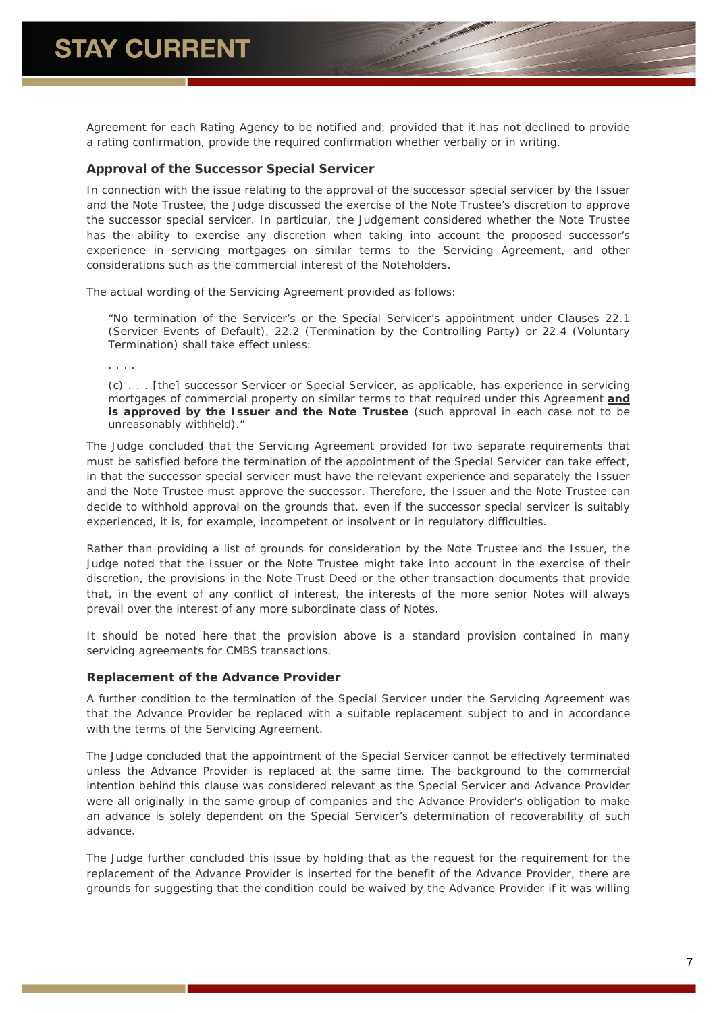Agreement for each Rating Agency to be notified and, provided that it has not declined to provide a rating confirmation, provide the required confirmation whether verbally or in writing.

#### **Approval of the Successor Special Servicer**

In connection with the issue relating to the approval of the successor special servicer by the Issuer and the Note Trustee, the Judge discussed the exercise of the Note Trustee's discretion to approve the successor special servicer. In particular, the Judgement considered whether the Note Trustee has the ability to exercise any discretion when taking into account the proposed successor's experience in servicing mortgages on similar terms to the Servicing Agreement, and other considerations such as the commercial interest of the Noteholders.

The actual wording of the Servicing Agreement provided as follows:

"No termination of the Servicer's or the Special Servicer's appointment under Clauses 22.1 (Servicer Events of Default), 22.2 (Termination by the Controlling Party) or 22.4 (Voluntary Termination) shall take effect unless:

. . . .

(c) . . . [the] successor Servicer or Special Servicer, as applicable, has experience in servicing mortgages of commercial property on similar terms to that required under this Agreement **and is approved by the Issuer and the Note Trustee** (such approval in each case not to be unreasonably withheld)."

The Judge concluded that the Servicing Agreement provided for two separate requirements that must be satisfied before the termination of the appointment of the Special Servicer can take effect, in that the successor special servicer must have the relevant experience and separately the Issuer and the Note Trustee must approve the successor. Therefore, the Issuer and the Note Trustee can decide to withhold approval on the grounds that, even if the successor special servicer is suitably experienced, it is, for example, incompetent or insolvent or in regulatory difficulties.

Rather than providing a list of grounds for consideration by the Note Trustee and the Issuer, the Judge noted that the Issuer or the Note Trustee might take into account in the exercise of their discretion, the provisions in the Note Trust Deed or the other transaction documents that provide that, in the event of any conflict of interest, the interests of the more senior Notes will always prevail over the interest of any more subordinate class of Notes.

It should be noted here that the provision above is a standard provision contained in many servicing agreements for CMBS transactions.

#### **Replacement of the Advance Provider**

A further condition to the termination of the Special Servicer under the Servicing Agreement was that the Advance Provider be replaced with a suitable replacement subject to and in accordance with the terms of the Servicing Agreement.

The Judge concluded that the appointment of the Special Servicer cannot be effectively terminated unless the Advance Provider is replaced at the same time. The background to the commercial intention behind this clause was considered relevant as the Special Servicer and Advance Provider were all originally in the same group of companies and the Advance Provider's obligation to make an advance is solely dependent on the Special Servicer's determination of recoverability of such advance.

The Judge further concluded this issue by holding that as the request for the requirement for the replacement of the Advance Provider is inserted for the benefit of the Advance Provider, there are grounds for suggesting that the condition could be waived by the Advance Provider if it was willing